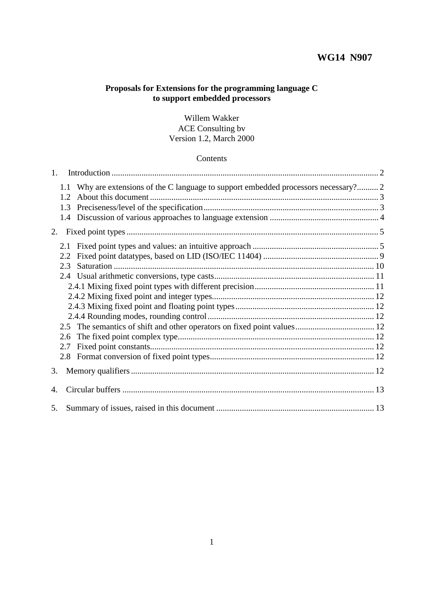## **WG14 N907**

# **Proposals for Extensions for the programming language C to support embedded processors**

## Willem Wakker ACE Consulting bv Version 1.2, March 2000

#### Contents

| $1_{\cdot}$ |     |                                                                                      |  |  |
|-------------|-----|--------------------------------------------------------------------------------------|--|--|
|             |     | 1.1 Why are extensions of the C language to support embedded processors necessary? 2 |  |  |
|             |     |                                                                                      |  |  |
|             | 1.3 |                                                                                      |  |  |
|             |     |                                                                                      |  |  |
|             |     |                                                                                      |  |  |
|             |     |                                                                                      |  |  |
|             | 2.2 |                                                                                      |  |  |
|             | 2.3 |                                                                                      |  |  |
|             |     |                                                                                      |  |  |
|             |     |                                                                                      |  |  |
|             |     |                                                                                      |  |  |
|             |     |                                                                                      |  |  |
|             |     |                                                                                      |  |  |
|             |     |                                                                                      |  |  |
|             |     |                                                                                      |  |  |
|             | 2.7 |                                                                                      |  |  |
|             |     |                                                                                      |  |  |
|             |     |                                                                                      |  |  |
| 4.          |     |                                                                                      |  |  |
| 5.          |     |                                                                                      |  |  |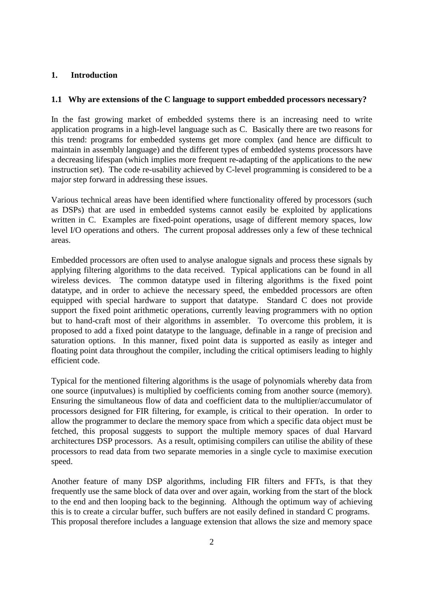### **1. Introduction**

#### **1.1 Why are extensions of the C language to support embedded processors necessary?**

In the fast growing market of embedded systems there is an increasing need to write application programs in a high-level language such as C. Basically there are two reasons for this trend: programs for embedded systems get more complex (and hence are difficult to maintain in assembly language) and the different types of embedded systems processors have a decreasing lifespan (which implies more frequent re-adapting of the applications to the new instruction set). The code re-usability achieved by C-level programming is considered to be a major step forward in addressing these issues.

Various technical areas have been identified where functionality offered by processors (such as DSPs) that are used in embedded systems cannot easily be exploited by applications written in C. Examples are fixed-point operations, usage of different memory spaces, low level I/O operations and others. The current proposal addresses only a few of these technical areas.

Embedded processors are often used to analyse analogue signals and process these signals by applying filtering algorithms to the data received. Typical applications can be found in all wireless devices. The common datatype used in filtering algorithms is the fixed point datatype, and in order to achieve the necessary speed, the embedded processors are often equipped with special hardware to support that datatype. Standard C does not provide support the fixed point arithmetic operations, currently leaving programmers with no option but to hand-craft most of their algorithms in assembler. To overcome this problem, it is proposed to add a fixed point datatype to the language, definable in a range of precision and saturation options. In this manner, fixed point data is supported as easily as integer and floating point data throughout the compiler, including the critical optimisers leading to highly efficient code.

Typical for the mentioned filtering algorithms is the usage of polynomials whereby data from one source (inputvalues) is multiplied by coefficients coming from another source (memory). Ensuring the simultaneous flow of data and coefficient data to the multiplier/accumulator of processors designed for FIR filtering, for example, is critical to their operation. In order to allow the programmer to declare the memory space from which a specific data object must be fetched, this proposal suggests to support the multiple memory spaces of dual Harvard architectures DSP processors. As a result, optimising compilers can utilise the ability of these processors to read data from two separate memories in a single cycle to maximise execution speed.

Another feature of many DSP algorithms, including FIR filters and FFTs, is that they frequently use the same block of data over and over again, working from the start of the block to the end and then looping back to the beginning. Although the optimum way of achieving this is to create a circular buffer, such buffers are not easily defined in standard C programs. This proposal therefore includes a language extension that allows the size and memory space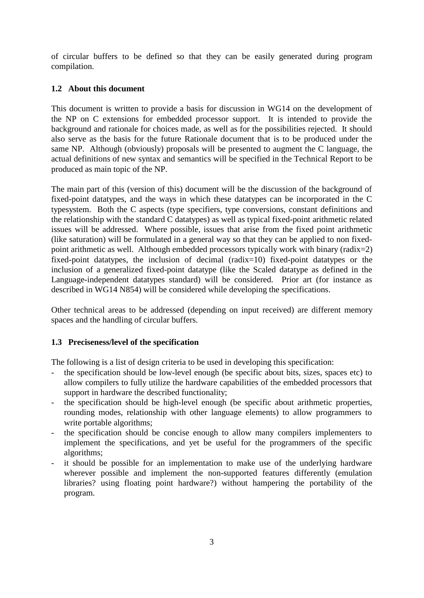of circular buffers to be defined so that they can be easily generated during program compilation.

# **1.2 About this document**

This document is written to provide a basis for discussion in WG14 on the development of the NP on C extensions for embedded processor support. It is intended to provide the background and rationale for choices made, as well as for the possibilities rejected. It should also serve as the basis for the future Rationale document that is to be produced under the same NP. Although (obviously) proposals will be presented to augment the C language, the actual definitions of new syntax and semantics will be specified in the Technical Report to be produced as main topic of the NP.

The main part of this (version of this) document will be the discussion of the background of fixed-point datatypes, and the ways in which these datatypes can be incorporated in the C typesystem. Both the C aspects (type specifiers, type conversions, constant definitions and the relationship with the standard C datatypes) as well as typical fixed-point arithmetic related issues will be addressed. Where possible, issues that arise from the fixed point arithmetic (like saturation) will be formulated in a general way so that they can be applied to non fixedpoint arithmetic as well. Although embedded processors typically work with binary (radix=2) fixed-point datatypes, the inclusion of decimal (radix=10) fixed-point datatypes or the inclusion of a generalized fixed-point datatype (like the Scaled datatype as defined in the Language-independent datatypes standard) will be considered. Prior art (for instance as described in WG14 N854) will be considered while developing the specifications.

Other technical areas to be addressed (depending on input received) are different memory spaces and the handling of circular buffers.

## **1.3 Preciseness/level of the specification**

The following is a list of design criteria to be used in developing this specification:

- the specification should be low-level enough (be specific about bits, sizes, spaces etc) to allow compilers to fully utilize the hardware capabilities of the embedded processors that support in hardware the described functionality;
- the specification should be high-level enough (be specific about arithmetic properties, rounding modes, relationship with other language elements) to allow programmers to write portable algorithms;
- the specification should be concise enough to allow many compilers implementers to implement the specifications, and yet be useful for the programmers of the specific algorithms;
- it should be possible for an implementation to make use of the underlying hardware wherever possible and implement the non-supported features differently (emulation libraries? using floating point hardware?) without hampering the portability of the program.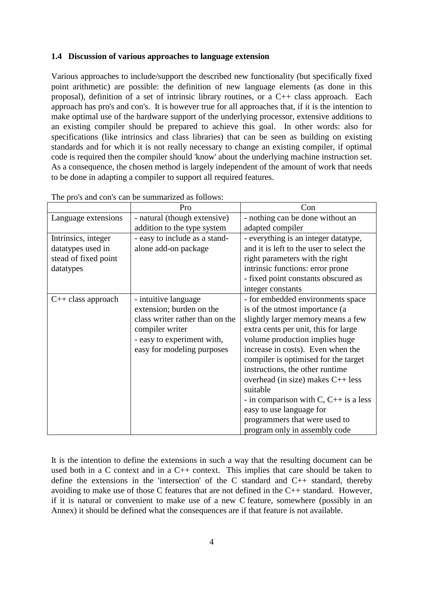#### **1.4 Discussion of various approaches to language extension**

Various approaches to include/support the described new functionality (but specifically fixed point arithmetic) are possible: the definition of new language elements (as done in this proposal), definition of a set of intrinsic library routines, or a C++ class approach. Each approach has pro's and con's. It is however true for all approaches that, if it is the intention to make optimal use of the hardware support of the underlying processor, extensive additions to an existing compiler should be prepared to achieve this goal. In other words: also for specifications (like intrinsics and class libraries) that can be seen as building on existing standards and for which it is not really necessary to change an existing compiler, if optimal code is required then the compiler should 'know' about the underlying machine instruction set. As a consequence, the chosen method is largely independent of the amount of work that needs to be done in adapting a compiler to support all required features.

|                      | Pro                             | Con                                      |
|----------------------|---------------------------------|------------------------------------------|
| Language extensions  | - natural (though extensive)    | - nothing can be done without an         |
|                      | addition to the type system     | adapted compiler                         |
| Intrinsics, integer  | - easy to include as a stand-   | - everything is an integer datatype,     |
| datatypes used in    | alone add-on package            | and it is left to the user to select the |
| stead of fixed point |                                 | right parameters with the right          |
| datatypes            |                                 | intrinsic functions: error prone         |
|                      |                                 | - fixed point constants obscured as      |
|                      |                                 | integer constants                        |
| $C++$ class approach | - intuitive language            | - for embedded environments space        |
|                      | extension; burden on the        | is of the utmost importance (a           |
|                      | class writer rather than on the | slightly larger memory means a few       |
|                      | compiler writer                 | extra cents per unit, this for large     |
|                      | - easy to experiment with,      | volume production implies huge           |
|                      | easy for modeling purposes      | increase in costs). Even when the        |
|                      |                                 | compiler is optimised for the target     |
|                      |                                 | instructions, the other runtime          |
|                      |                                 | overhead (in size) makes $C_{++}$ less   |
|                      |                                 | suitable                                 |
|                      |                                 | - in comparison with C, $C++$ is a less  |
|                      |                                 | easy to use language for                 |
|                      |                                 | programmers that were used to            |
|                      |                                 | program only in assembly code            |

The pro's and con's can be summarized as follows:

It is the intention to define the extensions in such a way that the resulting document can be used both in a C context and in a C++ context. This implies that care should be taken to define the extensions in the 'intersection' of the C standard and  $C_{++}$  standard, thereby avoiding to make use of those C features that are not defined in the C++ standard. However, if it is natural or convenient to make use of a new C feature, somewhere (possibly in an Annex) it should be defined what the consequences are if that feature is not available.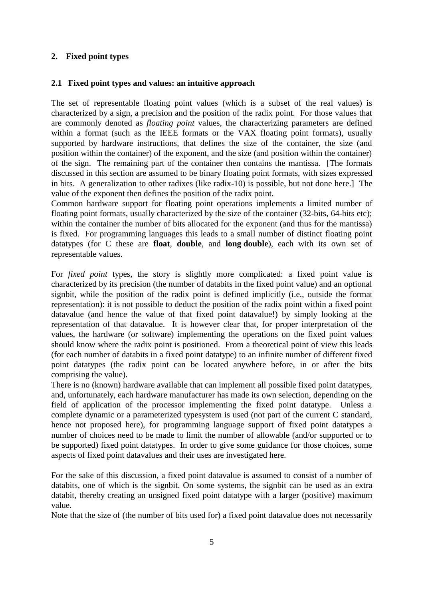## **2. Fixed point types**

### **2.1 Fixed point types and values: an intuitive approach**

The set of representable floating point values (which is a subset of the real values) is characterized by a sign, a precision and the position of the radix point. For those values that are commonly denoted as *floating point* values, the characterizing parameters are defined within a format (such as the IEEE formats or the VAX floating point formats), usually supported by hardware instructions, that defines the size of the container, the size (and position within the container) of the exponent, and the size (and position within the container) of the sign. The remaining part of the container then contains the mantissa. [The formats discussed in this section are assumed to be binary floating point formats, with sizes expressed in bits. A generalization to other radixes (like radix-10) is possible, but not done here.] The value of the exponent then defines the position of the radix point.

Common hardware support for floating point operations implements a limited number of floating point formats, usually characterized by the size of the container (32-bits, 64-bits etc); within the container the number of bits allocated for the exponent (and thus for the mantissa) is fixed. For programming languages this leads to a small number of distinct floating point datatypes (for C these are **float**, **double**, and **long double**), each with its own set of representable values.

For *fixed point* types, the story is slightly more complicated: a fixed point value is characterized by its precision (the number of databits in the fixed point value) and an optional signbit, while the position of the radix point is defined implicitly (i.e., outside the format representation): it is not possible to deduct the position of the radix point within a fixed point datavalue (and hence the value of that fixed point datavalue!) by simply looking at the representation of that datavalue. It is however clear that, for proper interpretation of the values, the hardware (or software) implementing the operations on the fixed point values should know where the radix point is positioned. From a theoretical point of view this leads (for each number of databits in a fixed point datatype) to an infinite number of different fixed point datatypes (the radix point can be located anywhere before, in or after the bits comprising the value).

There is no (known) hardware available that can implement all possible fixed point datatypes, and, unfortunately, each hardware manufacturer has made its own selection, depending on the field of application of the processor implementing the fixed point datatype. Unless a complete dynamic or a parameterized typesystem is used (not part of the current C standard, hence not proposed here), for programming language support of fixed point datatypes a number of choices need to be made to limit the number of allowable (and/or supported or to be supported) fixed point datatypes. In order to give some guidance for those choices, some aspects of fixed point datavalues and their uses are investigated here.

For the sake of this discussion, a fixed point datavalue is assumed to consist of a number of databits, one of which is the signbit. On some systems, the signbit can be used as an extra databit, thereby creating an unsigned fixed point datatype with a larger (positive) maximum value.

Note that the size of (the number of bits used for) a fixed point datavalue does not necessarily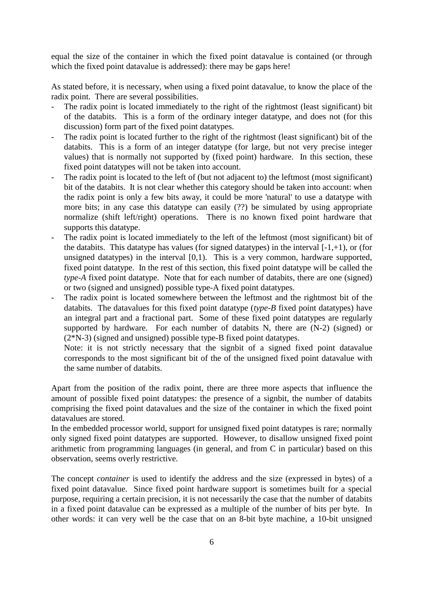equal the size of the container in which the fixed point datavalue is contained (or through which the fixed point datavalue is addressed): there may be gaps here!

As stated before, it is necessary, when using a fixed point datavalue, to know the place of the radix point. There are several possibilities.

- The radix point is located immediately to the right of the rightmost (least significant) bit of the databits. This is a form of the ordinary integer datatype, and does not (for this discussion) form part of the fixed point datatypes.
- The radix point is located further to the right of the rightmost (least significant) bit of the databits. This is a form of an integer datatype (for large, but not very precise integer values) that is normally not supported by (fixed point) hardware. In this section, these fixed point datatypes will not be taken into account.
- The radix point is located to the left of (but not adjacent to) the leftmost (most significant) bit of the databits. It is not clear whether this category should be taken into account: when the radix point is only a few bits away, it could be more 'natural' to use a datatype with more bits; in any case this datatype can easily (??) be simulated by using appropriate normalize (shift left/right) operations. There is no known fixed point hardware that supports this datatype.
- The radix point is located immediately to the left of the leftmost (most significant) bit of the databits. This datatype has values (for signed datatypes) in the interval  $[-1, +1)$ , or (for unsigned datatypes) in the interval [0,1). This is a very common, hardware supported, fixed point datatype. In the rest of this section, this fixed point datatype will be called the *type-A* fixed point datatype. Note that for each number of databits, there are one (signed) or two (signed and unsigned) possible type-A fixed point datatypes.
- The radix point is located somewhere between the leftmost and the rightmost bit of the databits. The datavalues for this fixed point datatype (*type-B* fixed point datatypes) have an integral part and a fractional part. Some of these fixed point datatypes are regularly supported by hardware. For each number of databits N, there are  $(N-2)$  (signed) or (2\*N-3) (signed and unsigned) possible type-B fixed point datatypes.
	- Note: it is not strictly necessary that the signbit of a signed fixed point datavalue corresponds to the most significant bit of the of the unsigned fixed point datavalue with the same number of databits.

Apart from the position of the radix point, there are three more aspects that influence the amount of possible fixed point datatypes: the presence of a signbit, the number of databits comprising the fixed point datavalues and the size of the container in which the fixed point datavalues are stored.

In the embedded processor world, support for unsigned fixed point datatypes is rare; normally only signed fixed point datatypes are supported. However, to disallow unsigned fixed point arithmetic from programming languages (in general, and from C in particular) based on this observation, seems overly restrictive.

The concept *container* is used to identify the address and the size (expressed in bytes) of a fixed point datavalue. Since fixed point hardware support is sometimes built for a special purpose, requiring a certain precision, it is not necessarily the case that the number of databits in a fixed point datavalue can be expressed as a multiple of the number of bits per byte. In other words: it can very well be the case that on an 8-bit byte machine, a 10-bit unsigned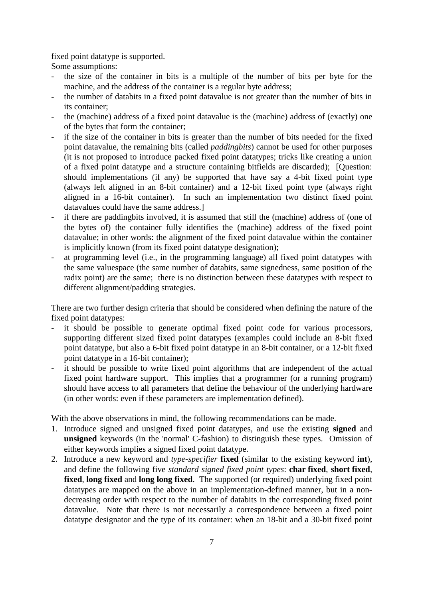fixed point datatype is supported.

Some assumptions:

- the size of the container in bits is a multiple of the number of bits per byte for the machine, and the address of the container is a regular byte address;
- the number of databits in a fixed point datavalue is not greater than the number of bits in its container;
- the (machine) address of a fixed point datavalue is the (machine) address of (exactly) one of the bytes that form the container;
- if the size of the container in bits is greater than the number of bits needed for the fixed point datavalue, the remaining bits (called *paddingbits*) cannot be used for other purposes (it is not proposed to introduce packed fixed point datatypes; tricks like creating a union of a fixed point datatype and a structure containing bitfields are discarded); [Question: should implementations (if any) be supported that have say a 4-bit fixed point type (always left aligned in an 8-bit container) and a 12-bit fixed point type (always right aligned in a 16-bit container). In such an implementation two distinct fixed point datavalues could have the same address.]
- if there are paddingbits involved, it is assumed that still the (machine) address of (one of the bytes of) the container fully identifies the (machine) address of the fixed point datavalue; in other words: the alignment of the fixed point datavalue within the container is implicitly known (from its fixed point datatype designation);
- at programming level (i.e., in the programming language) all fixed point datatypes with the same valuespace (the same number of databits, same signedness, same position of the radix point) are the same; there is no distinction between these datatypes with respect to different alignment/padding strategies.

There are two further design criteria that should be considered when defining the nature of the fixed point datatypes:

- it should be possible to generate optimal fixed point code for various processors, supporting different sized fixed point datatypes (examples could include an 8-bit fixed point datatype, but also a 6-bit fixed point datatype in an 8-bit container, or a 12-bit fixed point datatype in a 16-bit container);
- it should be possible to write fixed point algorithms that are independent of the actual fixed point hardware support. This implies that a programmer (or a running program) should have access to all parameters that define the behaviour of the underlying hardware (in other words: even if these parameters are implementation defined).

With the above observations in mind, the following recommendations can be made.

- 1. Introduce signed and unsigned fixed point datatypes, and use the existing **signed** and **unsigned** keywords (in the 'normal' C-fashion) to distinguish these types. Omission of either keywords implies a signed fixed point datatype.
- 2. Introduce a new keyword and *type-specifier* **fixed** (similar to the existing keyword **int**), and define the following five *standard signed fixed point types*: **char fixed**, **short fixed**, **fixed**, **long fixed** and **long long fixed**. The supported (or required) underlying fixed point datatypes are mapped on the above in an implementation-defined manner, but in a nondecreasing order with respect to the number of databits in the corresponding fixed point datavalue. Note that there is not necessarily a correspondence between a fixed point datatype designator and the type of its container: when an 18-bit and a 30-bit fixed point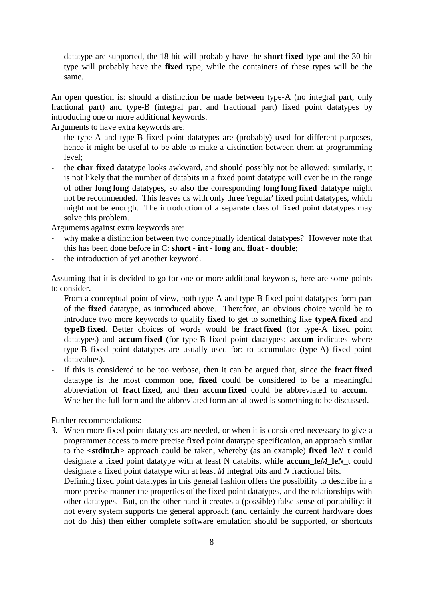datatype are supported, the 18-bit will probably have the **short fixed** type and the 30-bit type will probably have the **fixed** type, while the containers of these types will be the same.

An open question is: should a distinction be made between type-A (no integral part, only fractional part) and type-B (integral part and fractional part) fixed point datatypes by introducing one or more additional keywords.

Arguments to have extra keywords are:

- the type-A and type-B fixed point datatypes are (probably) used for different purposes, hence it might be useful to be able to make a distinction between them at programming level;
- the **char fixed** datatype looks awkward, and should possibly not be allowed; similarly, it is not likely that the number of databits in a fixed point datatype will ever be in the range of other **long long** datatypes, so also the corresponding **long long fixed** datatype might not be recommended. This leaves us with only three 'regular' fixed point datatypes, which might not be enough. The introduction of a separate class of fixed point datatypes may solve this problem.

Arguments against extra keywords are:

- why make a distinction between two conceptually identical datatypes? However note that this has been done before in C: **short** - **int** - **long** and **float** - **double**;
- the introduction of yet another keyword.

Assuming that it is decided to go for one or more additional keywords, here are some points to consider.

- From a conceptual point of view, both type-A and type-B fixed point datatypes form part of the **fixed** datatype, as introduced above. Therefore, an obvious choice would be to introduce two more keywords to qualify **fixed** to get to something like **typeA fixed** and **typeB fixed**. Better choices of words would be **fract fixed** (for type-A fixed point datatypes) and **accum fixed** (for type-B fixed point datatypes; **accum** indicates where type-B fixed point datatypes are usually used for: to accumulate (type-A) fixed point datavalues).
- If this is considered to be too verbose, then it can be argued that, since the **fract fixed** datatype is the most common one, **fixed** could be considered to be a meaningful abbreviation of **fract fixed**, and then **accum fixed** could be abbreviated to **accum**. Whether the full form and the abbreviated form are allowed is something to be discussed.

Further recommendations:

3. When more fixed point datatypes are needed, or when it is considered necessary to give a programmer access to more precise fixed point datatype specification, an approach similar to the **<stdint.h**> approach could be taken, whereby (as an example) **fixed\_le***N***\_t** could designate a fixed point datatype with at least N databits, while **accum\_le***M***\_le***N*\_t could designate a fixed point datatype with at least *M* integral bits and *N* fractional bits.

Defining fixed point datatypes in this general fashion offers the possibility to describe in a more precise manner the properties of the fixed point datatypes, and the relationships with other datatypes. But, on the other hand it creates a (possible) false sense of portability: if not every system supports the general approach (and certainly the current hardware does not do this) then either complete software emulation should be supported, or shortcuts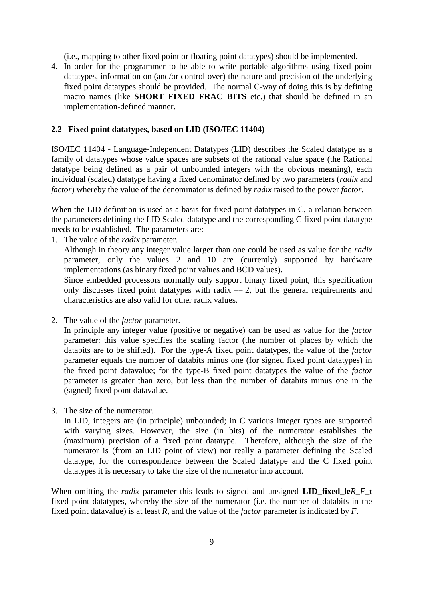(i.e., mapping to other fixed point or floating point datatypes) should be implemented.

4. In order for the programmer to be able to write portable algorithms using fixed point datatypes, information on (and/or control over) the nature and precision of the underlying fixed point datatypes should be provided. The normal C-way of doing this is by defining macro names (like **SHORT\_FIXED\_FRAC\_BITS** etc.) that should be defined in an implementation-defined manner.

#### **2.2 Fixed point datatypes, based on LID (ISO/IEC 11404)**

ISO/IEC 11404 - Language-Independent Datatypes (LID) describes the Scaled datatype as a family of datatypes whose value spaces are subsets of the rational value space (the Rational datatype being defined as a pair of unbounded integers with the obvious meaning), each individual (scaled) datatype having a fixed denominator defined by two parameters (*radix* and *factor*) whereby the value of the denominator is defined by *radix* raised to the power *factor*.

When the LID definition is used as a basis for fixed point datatypes in C, a relation between the parameters defining the LID Scaled datatype and the corresponding C fixed point datatype needs to be established. The parameters are:

1. The value of the *radix* parameter.

Although in theory any integer value larger than one could be used as value for the *radix* parameter, only the values 2 and 10 are (currently) supported by hardware implementations (as binary fixed point values and BCD values).

Since embedded processors normally only support binary fixed point, this specification only discusses fixed point datatypes with radix  $=$  2, but the general requirements and characteristics are also valid for other radix values.

2. The value of the *factor* parameter.

In principle any integer value (positive or negative) can be used as value for the *factor* parameter: this value specifies the scaling factor (the number of places by which the databits are to be shifted). For the type-A fixed point datatypes, the value of the *factor* parameter equals the number of databits minus one (for signed fixed point datatypes) in the fixed point datavalue; for the type-B fixed point datatypes the value of the *factor* parameter is greater than zero, but less than the number of databits minus one in the (signed) fixed point datavalue.

3. The size of the numerator.

In LID, integers are (in principle) unbounded; in C various integer types are supported with varying sizes. However, the size (in bits) of the numerator establishes the (maximum) precision of a fixed point datatype. Therefore, although the size of the numerator is (from an LID point of view) not really a parameter defining the Scaled datatype, for the correspondence between the Scaled datatype and the C fixed point datatypes it is necessary to take the size of the numerator into account.

When omitting the *radix* parameter this leads to signed and unsigned **LID\_fixed\_le***R***\_***F***\_t** fixed point datatypes, whereby the size of the numerator (i.e. the number of databits in the fixed point datavalue) is at least *R*, and the value of the *factor* parameter is indicated by *F*.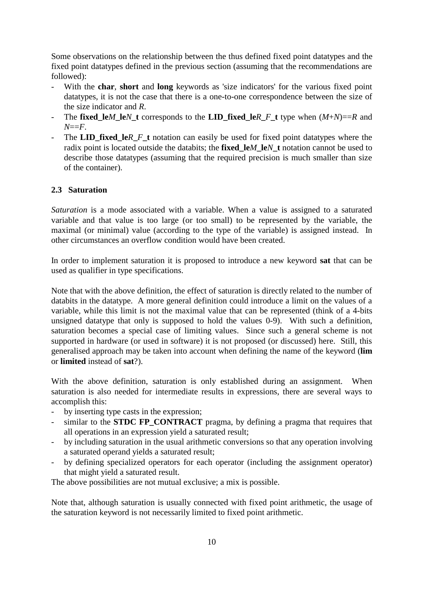Some observations on the relationship between the thus defined fixed point datatypes and the fixed point datatypes defined in the previous section (assuming that the recommendations are followed):

- With the **char**, **short** and **long** keywords as 'size indicators' for the various fixed point datatypes, it is not the case that there is a one-to-one correspondence between the size of the size indicator and *R*.
- The **fixed\_le***M***\_le***N***\_t** corresponds to the **LID\_fixed\_le***R***\_***F***\_t** type when (*M*+*N*)==*R* and *N*==*F*.
- The **LID** fixed le*R F* **t** notation can easily be used for fixed point datatypes where the radix point is located outside the databits; the **fixed\_le***M***\_le***N***\_t** notation cannot be used to describe those datatypes (assuming that the required precision is much smaller than size of the container).

#### **2.3 Saturation**

*Saturation* is a mode associated with a variable. When a value is assigned to a saturated variable and that value is too large (or too small) to be represented by the variable, the maximal (or minimal) value (according to the type of the variable) is assigned instead. In other circumstances an overflow condition would have been created.

In order to implement saturation it is proposed to introduce a new keyword **sat** that can be used as qualifier in type specifications.

Note that with the above definition, the effect of saturation is directly related to the number of databits in the datatype. A more general definition could introduce a limit on the values of a variable, while this limit is not the maximal value that can be represented (think of a 4-bits unsigned datatype that only is supposed to hold the values 0-9). With such a definition, saturation becomes a special case of limiting values. Since such a general scheme is not supported in hardware (or used in software) it is not proposed (or discussed) here. Still, this generalised approach may be taken into account when defining the name of the keyword (**lim** or **limited** instead of **sat**?).

With the above definition, saturation is only established during an assignment. When saturation is also needed for intermediate results in expressions, there are several ways to accomplish this:

- by inserting type casts in the expression;
- similar to the **STDC FP\_CONTRACT** pragma, by defining a pragma that requires that all operations in an expression yield a saturated result;
- by including saturation in the usual arithmetic conversions so that any operation involving a saturated operand yields a saturated result;
- by defining specialized operators for each operator (including the assignment operator) that might yield a saturated result.

The above possibilities are not mutual exclusive; a mix is possible.

Note that, although saturation is usually connected with fixed point arithmetic, the usage of the saturation keyword is not necessarily limited to fixed point arithmetic.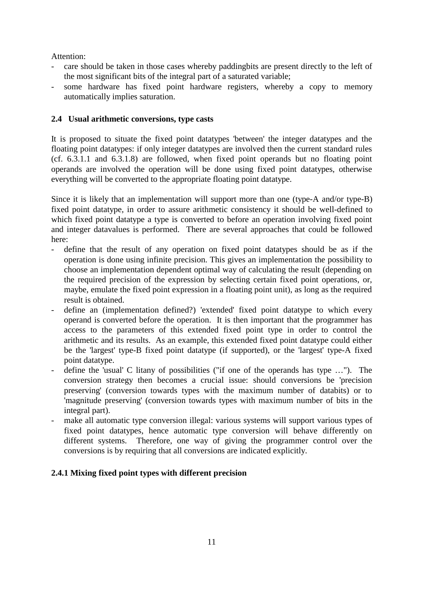Attention:

- care should be taken in those cases whereby paddingbits are present directly to the left of the most significant bits of the integral part of a saturated variable;
- some hardware has fixed point hardware registers, whereby a copy to memory automatically implies saturation.

## **2.4 Usual arithmetic conversions, type casts**

It is proposed to situate the fixed point datatypes 'between' the integer datatypes and the floating point datatypes: if only integer datatypes are involved then the current standard rules (cf. 6.3.1.1 and 6.3.1.8) are followed, when fixed point operands but no floating point operands are involved the operation will be done using fixed point datatypes, otherwise everything will be converted to the appropriate floating point datatype.

Since it is likely that an implementation will support more than one (type-A and/or type-B) fixed point datatype, in order to assure arithmetic consistency it should be well-defined to which fixed point datatype a type is converted to before an operation involving fixed point and integer datavalues is performed. There are several approaches that could be followed here:

- define that the result of any operation on fixed point datatypes should be as if the operation is done using infinite precision. This gives an implementation the possibility to choose an implementation dependent optimal way of calculating the result (depending on the required precision of the expression by selecting certain fixed point operations, or, maybe, emulate the fixed point expression in a floating point unit), as long as the required result is obtained.
- define an (implementation defined?) 'extended' fixed point datatype to which every operand is converted before the operation. It is then important that the programmer has access to the parameters of this extended fixed point type in order to control the arithmetic and its results. As an example, this extended fixed point datatype could either be the 'largest' type-B fixed point datatype (if supported), or the 'largest' type-A fixed point datatype.
- define the 'usual' C litany of possibilities ("if one of the operands has type …"). The conversion strategy then becomes a crucial issue: should conversions be 'precision preserving' (conversion towards types with the maximum number of databits) or to 'magnitude preserving' (conversion towards types with maximum number of bits in the integral part).
- make all automatic type conversion illegal: various systems will support various types of fixed point datatypes, hence automatic type conversion will behave differently on different systems. Therefore, one way of giving the programmer control over the conversions is by requiring that all conversions are indicated explicitly.

## **2.4.1 Mixing fixed point types with different precision**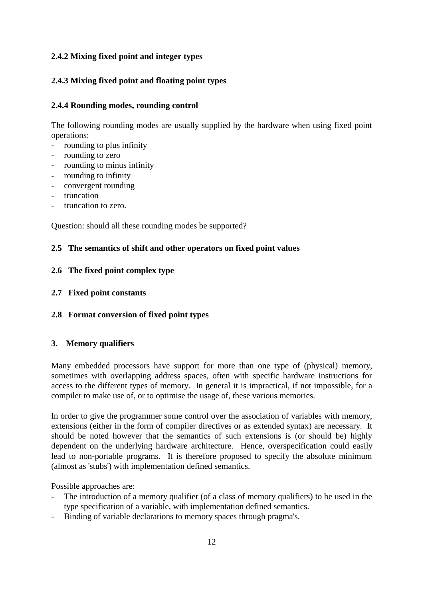## **2.4.2 Mixing fixed point and integer types**

## **2.4.3 Mixing fixed point and floating point types**

### **2.4.4 Rounding modes, rounding control**

The following rounding modes are usually supplied by the hardware when using fixed point operations:

- rounding to plus infinity
- rounding to zero
- rounding to minus infinity
- rounding to infinity
- convergent rounding
- truncation
- truncation to zero.

Question: should all these rounding modes be supported?

### **2.5 The semantics of shift and other operators on fixed point values**

### **2.6 The fixed point complex type**

- **2.7 Fixed point constants**
- **2.8 Format conversion of fixed point types**

### **3. Memory qualifiers**

Many embedded processors have support for more than one type of (physical) memory, sometimes with overlapping address spaces, often with specific hardware instructions for access to the different types of memory. In general it is impractical, if not impossible, for a compiler to make use of, or to optimise the usage of, these various memories.

In order to give the programmer some control over the association of variables with memory, extensions (either in the form of compiler directives or as extended syntax) are necessary. It should be noted however that the semantics of such extensions is (or should be) highly dependent on the underlying hardware architecture. Hence, overspecification could easily lead to non-portable programs. It is therefore proposed to specify the absolute minimum (almost as 'stubs') with implementation defined semantics.

Possible approaches are:

- The introduction of a memory qualifier (of a class of memory qualifiers) to be used in the type specification of a variable, with implementation defined semantics.
- Binding of variable declarations to memory spaces through pragma's.